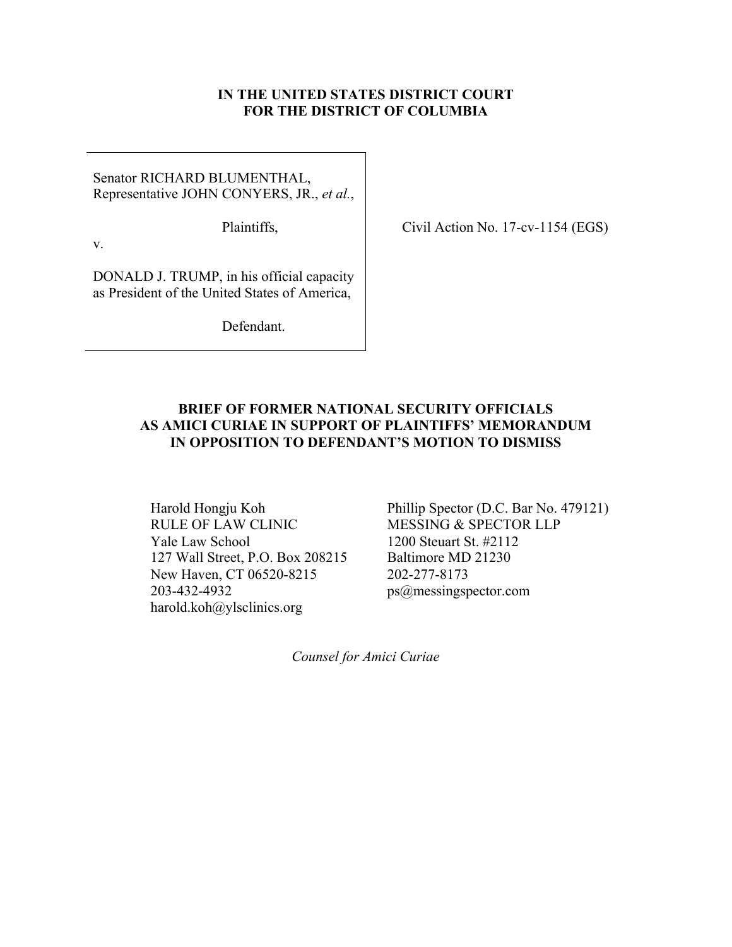### **IN THE UNITED STATES DISTRICT COURT FOR THE DISTRICT OF COLUMBIA**

Senator RICHARD BLUMENTHAL, Representative JOHN CONYERS, JR., *et al.*,

Plaintiffs,

Civil Action No. 17-cv-1154 (EGS)

v.

DONALD J. TRUMP, in his official capacity as President of the United States of America,

Defendant.

### **BRIEF OF FORMER NATIONAL SECURITY OFFICIALS AS AMICI CURIAE IN SUPPORT OF PLAINTIFFS' MEMORANDUM IN OPPOSITION TO DEFENDANT'S MOTION TO DISMISS**

RULE OF LAW CLINIC MESSING & SPECTOR LLP Yale Law School 1200 Steuart St. #2112 127 Wall Street, P.O. Box 208215 Baltimore MD 21230 New Haven, CT 06520-8215 202-277-8173 203-432-4932 ps@messingspector.com harold.koh@ylsclinics.org

Harold Hongju Koh Phillip Spector (D.C. Bar No. 479121)

*Counsel for Amici Curiae*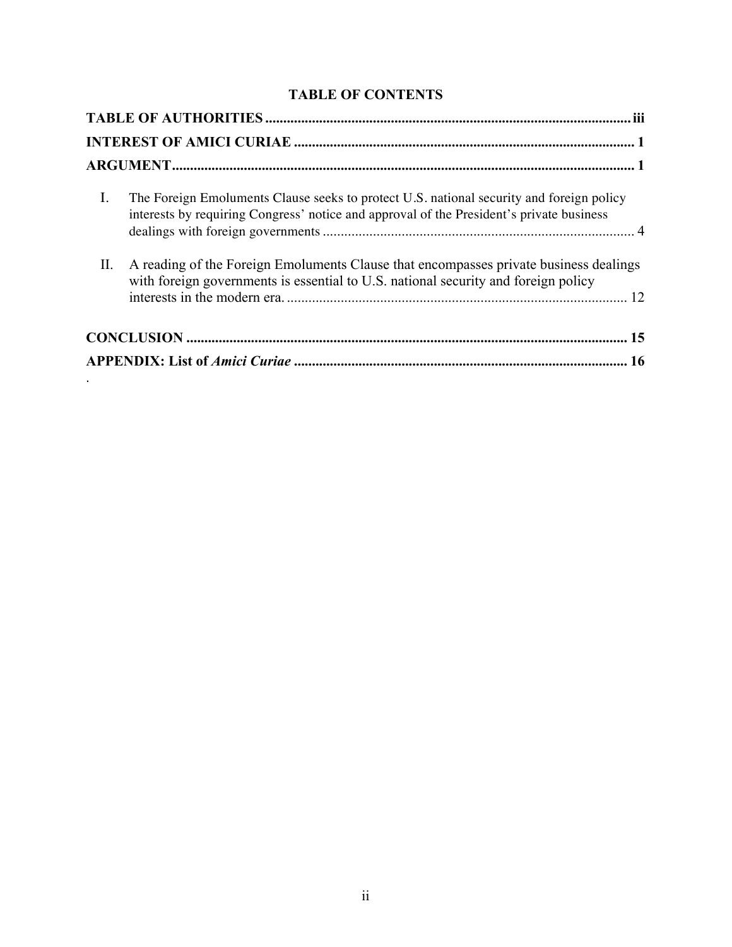# **TABLE OF CONTENTS**

| I.  | The Foreign Emoluments Clause seeks to protect U.S. national security and foreign policy<br>interests by requiring Congress' notice and approval of the President's private business |
|-----|--------------------------------------------------------------------------------------------------------------------------------------------------------------------------------------|
| II. | A reading of the Foreign Emoluments Clause that encompasses private business dealings<br>with foreign governments is essential to U.S. national security and foreign policy          |
|     |                                                                                                                                                                                      |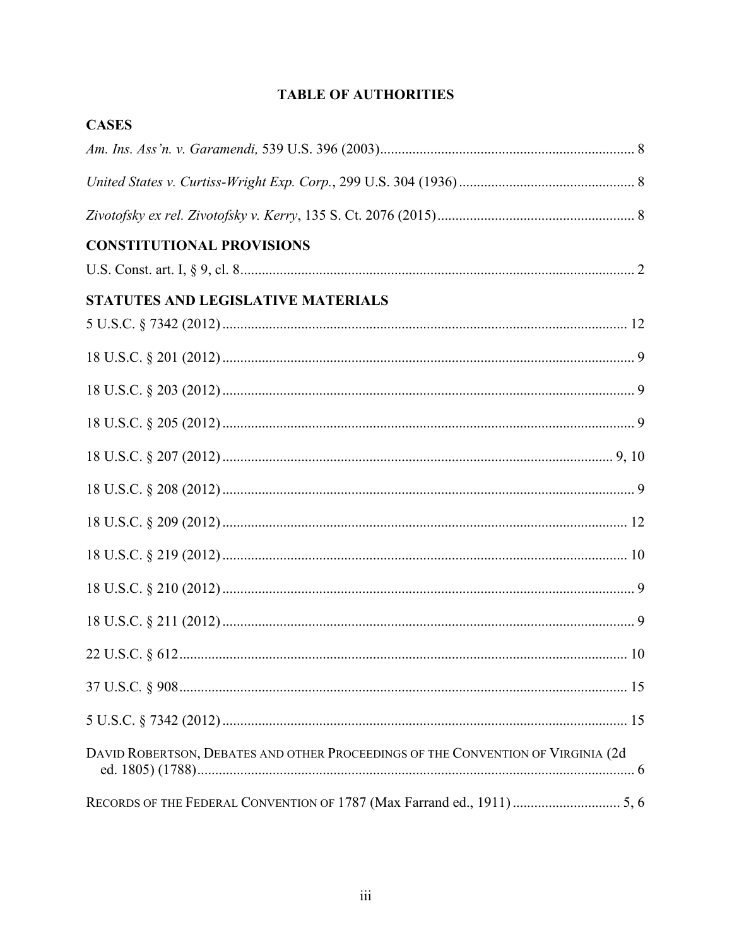# **TABLE OF AUTHORITIES**

| <b>CASES</b>                                                                     |  |
|----------------------------------------------------------------------------------|--|
|                                                                                  |  |
|                                                                                  |  |
|                                                                                  |  |
| <b>CONSTITUTIONAL PROVISIONS</b>                                                 |  |
|                                                                                  |  |
| STATUTES AND LEGISLATIVE MATERIALS                                               |  |
|                                                                                  |  |
|                                                                                  |  |
|                                                                                  |  |
|                                                                                  |  |
|                                                                                  |  |
|                                                                                  |  |
|                                                                                  |  |
|                                                                                  |  |
|                                                                                  |  |
|                                                                                  |  |
|                                                                                  |  |
|                                                                                  |  |
|                                                                                  |  |
| DAVID ROBERTSON, DEBATES AND OTHER PROCEEDINGS OF THE CONVENTION OF VIRGINIA (2d |  |
| RECORDS OF THE FEDERAL CONVENTION OF 1787 (Max Farrand ed., 1911)  5, 6          |  |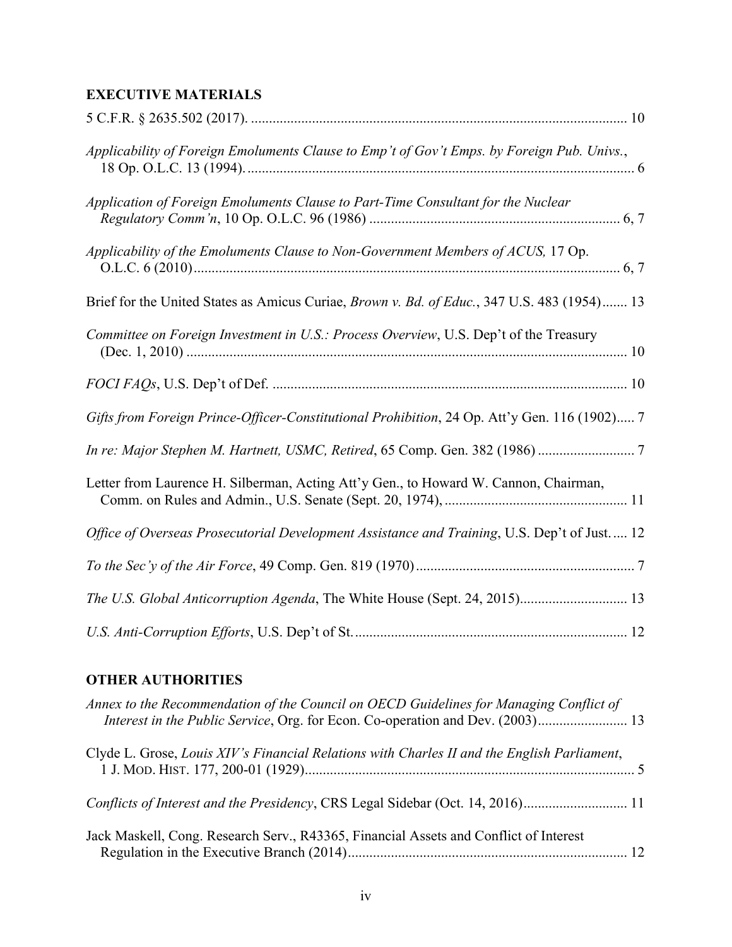# **EXECUTIVE MATERIALS**

| Applicability of Foreign Emoluments Clause to Emp't of Gov't Emps. by Foreign Pub. Univs.,   |
|----------------------------------------------------------------------------------------------|
| Application of Foreign Emoluments Clause to Part-Time Consultant for the Nuclear             |
| Applicability of the Emoluments Clause to Non-Government Members of ACUS, 17 Op.             |
| Brief for the United States as Amicus Curiae, Brown v. Bd. of Educ., 347 U.S. 483 (1954) 13  |
| Committee on Foreign Investment in U.S.: Process Overview, U.S. Dep't of the Treasury        |
|                                                                                              |
| Gifts from Foreign Prince-Officer-Constitutional Prohibition, 24 Op. Att'y Gen. 116 (1902) 7 |
|                                                                                              |
| Letter from Laurence H. Silberman, Acting Att'y Gen., to Howard W. Cannon, Chairman,         |
| Office of Overseas Prosecutorial Development Assistance and Training, U.S. Dep't of Just 12  |
|                                                                                              |
| The U.S. Global Anticorruption Agenda, The White House (Sept. 24, 2015) 13                   |
|                                                                                              |

## **OTHER AUTHORITIES**

| Annex to the Recommendation of the Council on OECD Guidelines for Managing Conflict of      |  |
|---------------------------------------------------------------------------------------------|--|
| Clyde L. Grose, Louis XIV's Financial Relations with Charles II and the English Parliament, |  |
| Conflicts of Interest and the Presidency, CRS Legal Sidebar (Oct. 14, 2016)                 |  |
| Jack Maskell, Cong. Research Serv., R43365, Financial Assets and Conflict of Interest       |  |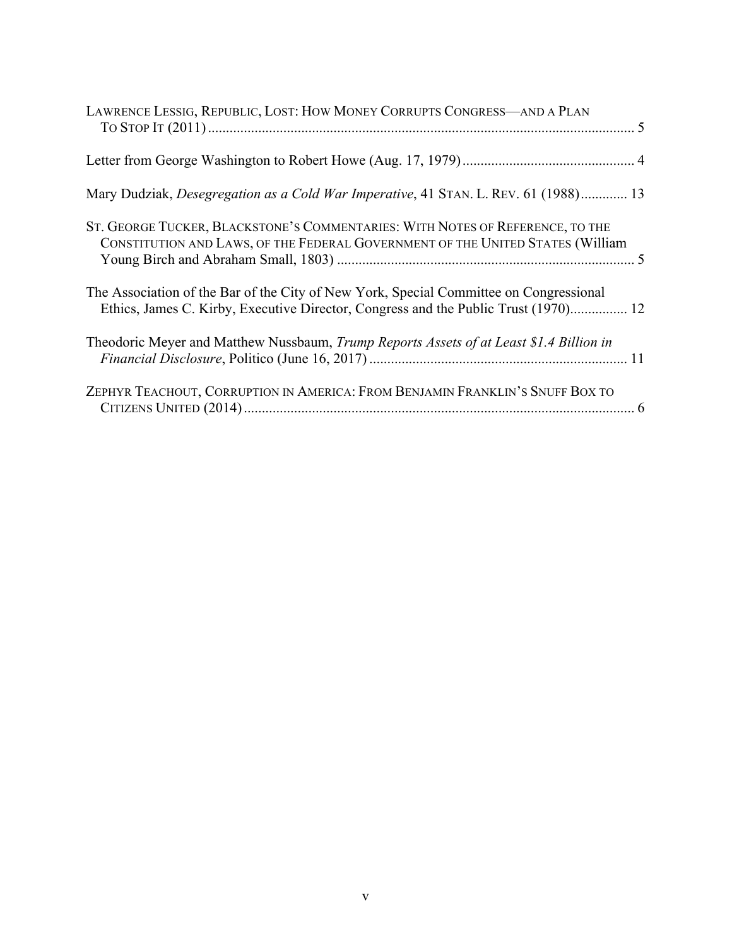| LAWRENCE LESSIG, REPUBLIC, LOST: HOW MONEY CORRUPTS CONGRESS-AND A PLAN                                                                                                       |  |
|-------------------------------------------------------------------------------------------------------------------------------------------------------------------------------|--|
|                                                                                                                                                                               |  |
| Mary Dudziak, <i>Desegregation as a Cold War Imperative</i> , 41 STAN, L. REV. 61 (1988) 13                                                                                   |  |
| ST. GEORGE TUCKER, BLACKSTONE'S COMMENTARIES: WITH NOTES OF REFERENCE, TO THE<br>CONSTITUTION AND LAWS, OF THE FEDERAL GOVERNMENT OF THE UNITED STATES (William               |  |
| The Association of the Bar of the City of New York, Special Committee on Congressional<br>Ethics, James C. Kirby, Executive Director, Congress and the Public Trust (1970) 12 |  |
| Theodoric Meyer and Matthew Nussbaum, Trump Reports Assets of at Least \$1.4 Billion in                                                                                       |  |
| ZEPHYR TEACHOUT, CORRUPTION IN AMERICA: FROM BENJAMIN FRANKLIN'S SNUFF BOX TO                                                                                                 |  |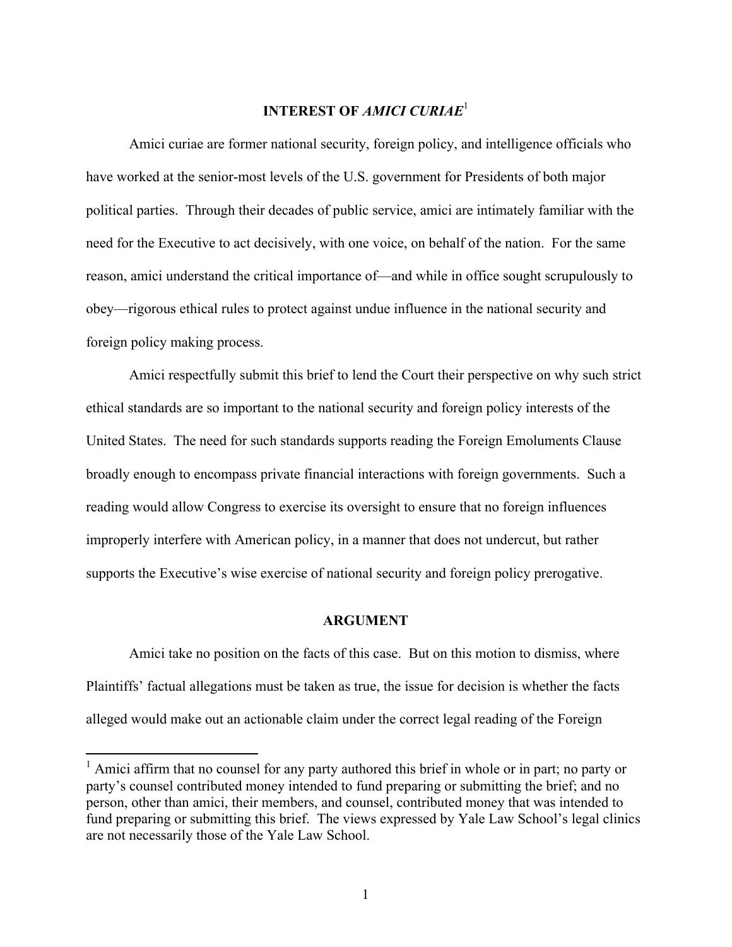#### **INTEREST OF** *AMICI CURIAE*<sup>1</sup>

Amici curiae are former national security, foreign policy, and intelligence officials who have worked at the senior-most levels of the U.S. government for Presidents of both major political parties. Through their decades of public service, amici are intimately familiar with the need for the Executive to act decisively, with one voice, on behalf of the nation. For the same reason, amici understand the critical importance of—and while in office sought scrupulously to obey—rigorous ethical rules to protect against undue influence in the national security and foreign policy making process.

Amici respectfully submit this brief to lend the Court their perspective on why such strict ethical standards are so important to the national security and foreign policy interests of the United States. The need for such standards supports reading the Foreign Emoluments Clause broadly enough to encompass private financial interactions with foreign governments. Such a reading would allow Congress to exercise its oversight to ensure that no foreign influences improperly interfere with American policy, in a manner that does not undercut, but rather supports the Executive's wise exercise of national security and foreign policy prerogative.

### **ARGUMENT**

Amici take no position on the facts of this case. But on this motion to dismiss, where Plaintiffs' factual allegations must be taken as true, the issue for decision is whether the facts alleged would make out an actionable claim under the correct legal reading of the Foreign

<sup>&</sup>lt;sup>1</sup> Amici affirm that no counsel for any party authored this brief in whole or in part; no party or party's counsel contributed money intended to fund preparing or submitting the brief; and no person, other than amici, their members, and counsel, contributed money that was intended to fund preparing or submitting this brief. The views expressed by Yale Law School's legal clinics are not necessarily those of the Yale Law School.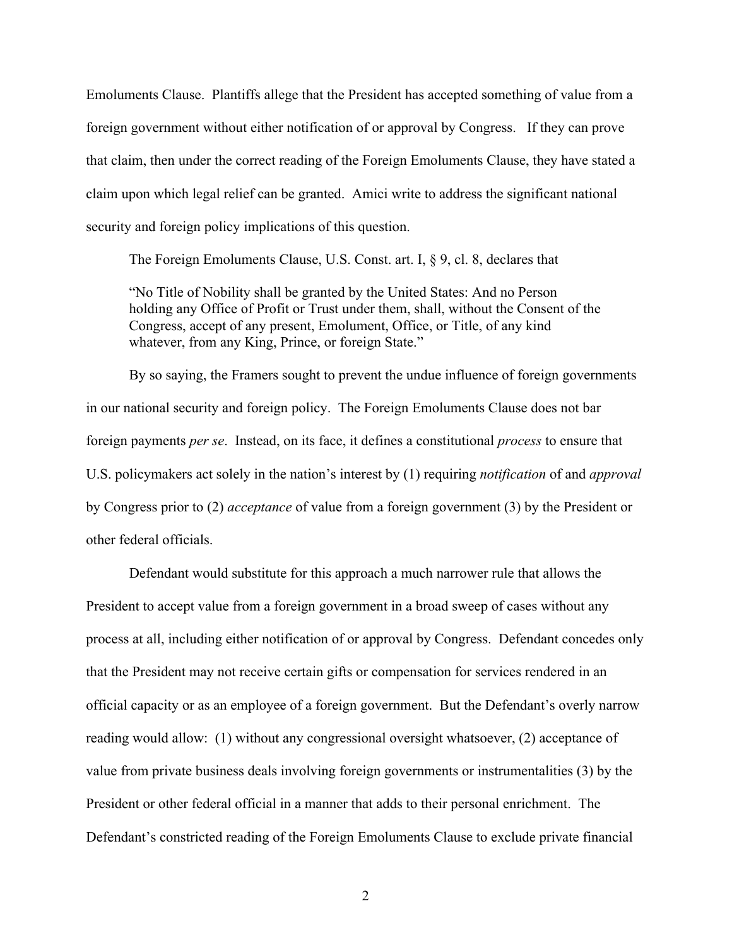Emoluments Clause. Plantiffs allege that the President has accepted something of value from a foreign government without either notification of or approval by Congress. If they can prove that claim, then under the correct reading of the Foreign Emoluments Clause, they have stated a claim upon which legal relief can be granted. Amici write to address the significant national security and foreign policy implications of this question.

The Foreign Emoluments Clause, U.S. Const. art. I, § 9, cl. 8, declares that

"No Title of Nobility shall be granted by the United States: And no Person holding any Office of Profit or Trust under them, shall, without the Consent of the Congress, accept of any present, Emolument, Office, or Title, of any kind whatever, from any King, Prince, or foreign State."

By so saying, the Framers sought to prevent the undue influence of foreign governments in our national security and foreign policy. The Foreign Emoluments Clause does not bar foreign payments *per se*. Instead, on its face, it defines a constitutional *process* to ensure that U.S. policymakers act solely in the nation's interest by (1) requiring *notification* of and *approval* by Congress prior to (2) *acceptance* of value from a foreign government (3) by the President or other federal officials.

Defendant would substitute for this approach a much narrower rule that allows the President to accept value from a foreign government in a broad sweep of cases without any process at all, including either notification of or approval by Congress. Defendant concedes only that the President may not receive certain gifts or compensation for services rendered in an official capacity or as an employee of a foreign government. But the Defendant's overly narrow reading would allow: (1) without any congressional oversight whatsoever, (2) acceptance of value from private business deals involving foreign governments or instrumentalities (3) by the President or other federal official in a manner that adds to their personal enrichment. The Defendant's constricted reading of the Foreign Emoluments Clause to exclude private financial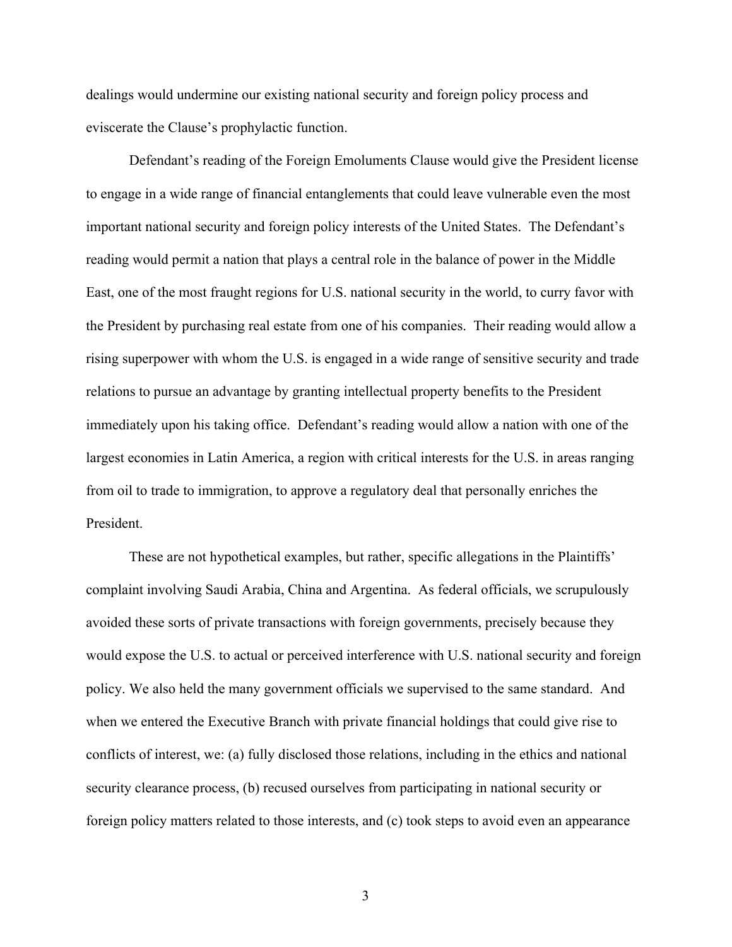dealings would undermine our existing national security and foreign policy process and eviscerate the Clause's prophylactic function.

Defendant's reading of the Foreign Emoluments Clause would give the President license to engage in a wide range of financial entanglements that could leave vulnerable even the most important national security and foreign policy interests of the United States. The Defendant's reading would permit a nation that plays a central role in the balance of power in the Middle East, one of the most fraught regions for U.S. national security in the world, to curry favor with the President by purchasing real estate from one of his companies. Their reading would allow a rising superpower with whom the U.S. is engaged in a wide range of sensitive security and trade relations to pursue an advantage by granting intellectual property benefits to the President immediately upon his taking office. Defendant's reading would allow a nation with one of the largest economies in Latin America, a region with critical interests for the U.S. in areas ranging from oil to trade to immigration, to approve a regulatory deal that personally enriches the President.

These are not hypothetical examples, but rather, specific allegations in the Plaintiffs' complaint involving Saudi Arabia, China and Argentina. As federal officials, we scrupulously avoided these sorts of private transactions with foreign governments, precisely because they would expose the U.S. to actual or perceived interference with U.S. national security and foreign policy. We also held the many government officials we supervised to the same standard. And when we entered the Executive Branch with private financial holdings that could give rise to conflicts of interest, we: (a) fully disclosed those relations, including in the ethics and national security clearance process, (b) recused ourselves from participating in national security or foreign policy matters related to those interests, and (c) took steps to avoid even an appearance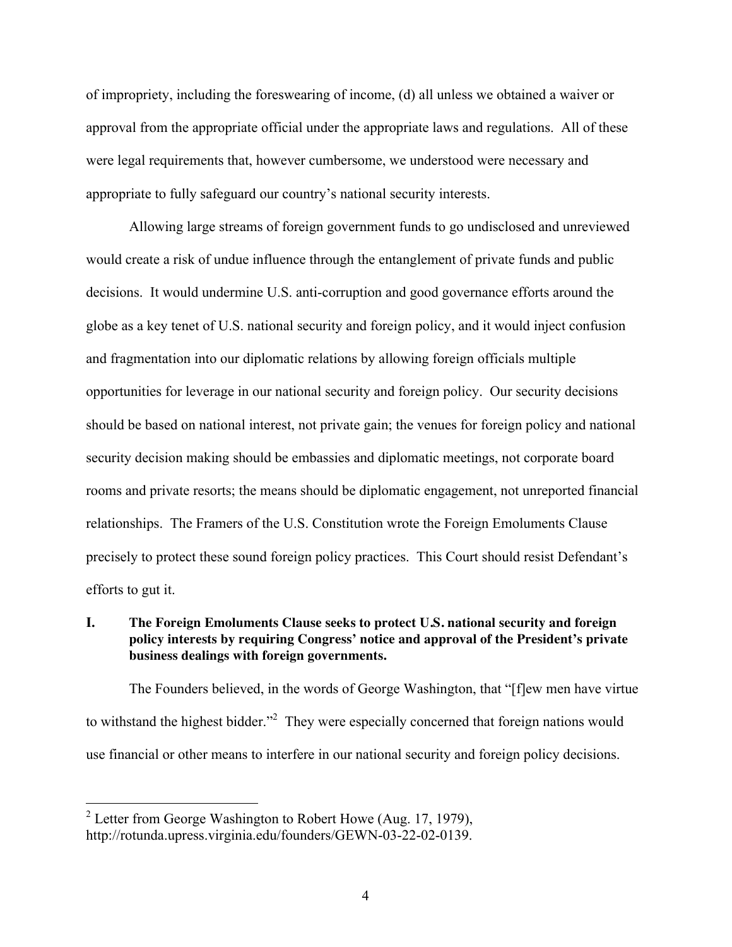of impropriety, including the foreswearing of income, (d) all unless we obtained a waiver or approval from the appropriate official under the appropriate laws and regulations. All of these were legal requirements that, however cumbersome, we understood were necessary and appropriate to fully safeguard our country's national security interests.

Allowing large streams of foreign government funds to go undisclosed and unreviewed would create a risk of undue influence through the entanglement of private funds and public decisions. It would undermine U.S. anti-corruption and good governance efforts around the globe as a key tenet of U.S. national security and foreign policy, and it would inject confusion and fragmentation into our diplomatic relations by allowing foreign officials multiple opportunities for leverage in our national security and foreign policy. Our security decisions should be based on national interest, not private gain; the venues for foreign policy and national security decision making should be embassies and diplomatic meetings, not corporate board rooms and private resorts; the means should be diplomatic engagement, not unreported financial relationships. The Framers of the U.S. Constitution wrote the Foreign Emoluments Clause precisely to protect these sound foreign policy practices. This Court should resist Defendant's efforts to gut it.

### **I. The Foreign Emoluments Clause seeks to protect U.S. national security and foreign policy interests by requiring Congress' notice and approval of the President's private business dealings with foreign governments.**

The Founders believed, in the words of George Washington, that "[f]ew men have virtue to withstand the highest bidder.<sup>22</sup> They were especially concerned that foreign nations would use financial or other means to interfere in our national security and foreign policy decisions.

<sup>&</sup>lt;sup>2</sup> Letter from George Washington to Robert Howe (Aug. 17, 1979), http://rotunda.upress.virginia.edu/founders/GEWN-03-22-02-0139.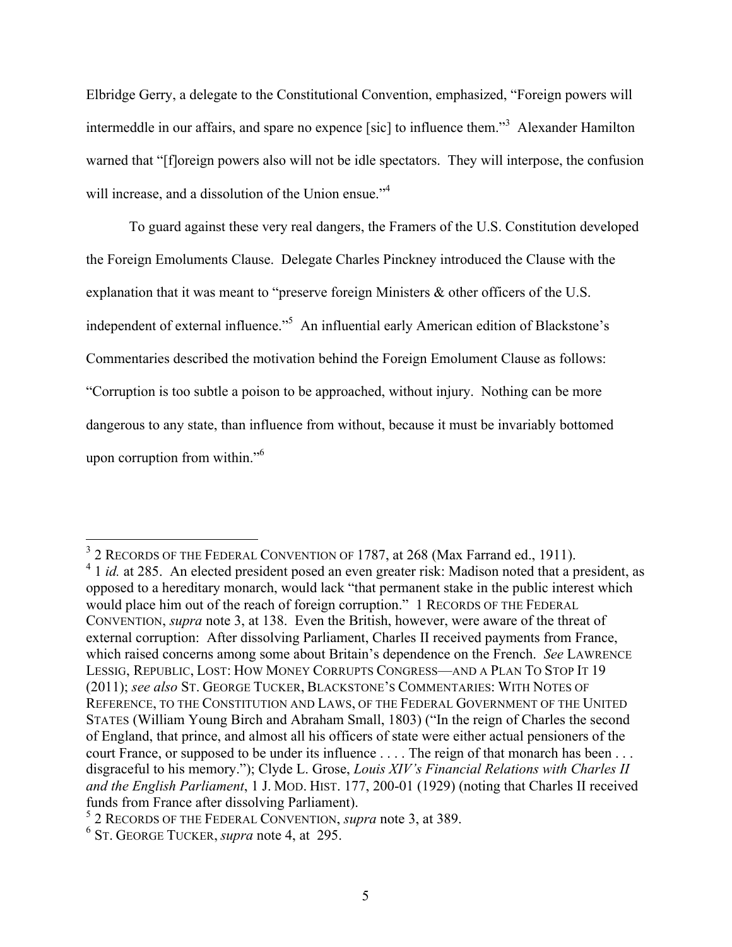Elbridge Gerry, a delegate to the Constitutional Convention, emphasized, "Foreign powers will intermeddle in our affairs, and spare no expence [sic] to influence them."<sup>3</sup> Alexander Hamilton warned that "[floreign powers also will not be idle spectators. They will interpose, the confusion will increase, and a dissolution of the Union ensue."<sup>4</sup>

To guard against these very real dangers, the Framers of the U.S. Constitution developed the Foreign Emoluments Clause. Delegate Charles Pinckney introduced the Clause with the explanation that it was meant to "preserve foreign Ministers & other officers of the U.S. independent of external influence."<sup>5</sup> An influential early American edition of Blackstone's Commentaries described the motivation behind the Foreign Emolument Clause as follows: "Corruption is too subtle a poison to be approached, without injury. Nothing can be more dangerous to any state, than influence from without, because it must be invariably bottomed upon corruption from within."<sup>6</sup>

<sup>&</sup>lt;sup>3</sup> 2 RECORDS OF THE FEDERAL CONVENTION OF 1787, at 268 (Max Farrand ed., 1911).<br><sup>4</sup> 1 *id.* at 285. An elected president posed an even greater risk: Madison noted that a president, as opposed to a hereditary monarch, would lack "that permanent stake in the public interest which would place him out of the reach of foreign corruption." 1 RECORDS OF THE FEDERAL CONVENTION, *supra* note 3, at 138. Even the British, however, were aware of the threat of external corruption: After dissolving Parliament, Charles II received payments from France, which raised concerns among some about Britain's dependence on the French. *See* LAWRENCE LESSIG, REPUBLIC, LOST: HOW MONEY CORRUPTS CONGRESS—AND A PLAN TO STOP IT 19 (2011); *see also* ST. GEORGE TUCKER, BLACKSTONE'S COMMENTARIES: WITH NOTES OF REFERENCE, TO THE CONSTITUTION AND LAWS, OF THE FEDERAL GOVERNMENT OF THE UNITED STATES (William Young Birch and Abraham Small, 1803) ("In the reign of Charles the second of England, that prince, and almost all his officers of state were either actual pensioners of the court France, or supposed to be under its influence . . . . The reign of that monarch has been . . . disgraceful to his memory."); Clyde L. Grose, *Louis XIV's Financial Relations with Charles II and the English Parliament*, 1 J. MOD. HIST. 177, 200-01 (1929) (noting that Charles II received

funds from France after dissolving Parliament). 5 2 RECORDS OF THE FEDERAL CONVENTION, *supra* note 3, at 389. <sup>6</sup> ST. GEORGE TUCKER, *supra* note 4, at 295.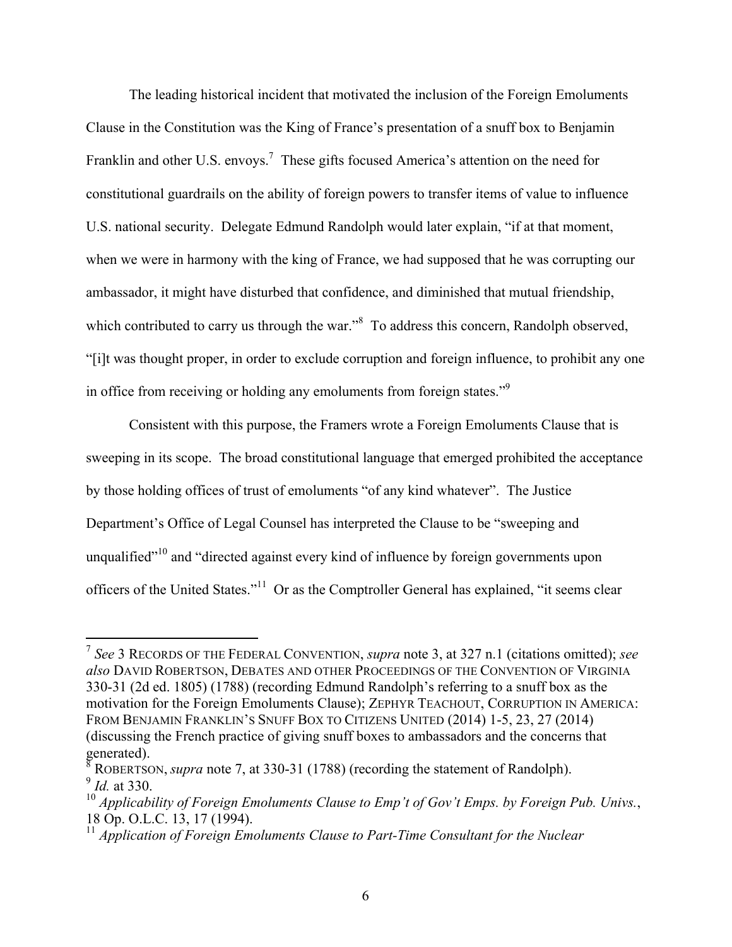The leading historical incident that motivated the inclusion of the Foreign Emoluments Clause in the Constitution was the King of France's presentation of a snuff box to Benjamin Franklin and other U.S. envoys.<sup>7</sup> These gifts focused America's attention on the need for constitutional guardrails on the ability of foreign powers to transfer items of value to influence U.S. national security. Delegate Edmund Randolph would later explain, "if at that moment, when we were in harmony with the king of France, we had supposed that he was corrupting our ambassador, it might have disturbed that confidence, and diminished that mutual friendship, which contributed to carry us through the war."<sup>8</sup> To address this concern, Randolph observed, "[i]t was thought proper, in order to exclude corruption and foreign influence, to prohibit any one in office from receiving or holding any emoluments from foreign states."9

Consistent with this purpose, the Framers wrote a Foreign Emoluments Clause that is sweeping in its scope. The broad constitutional language that emerged prohibited the acceptance by those holding offices of trust of emoluments "of any kind whatever". The Justice Department's Office of Legal Counsel has interpreted the Clause to be "sweeping and unqualified"<sup>10</sup> and "directed against every kind of influence by foreign governments upon officers of the United States."11 Or as the Comptroller General has explained, "it seems clear

 <sup>7</sup> *See* 3 RECORDS OF THE FEDERAL CONVENTION, *supra* note 3, at 327 n.1 (citations omitted); *see also* DAVID ROBERTSON, DEBATES AND OTHER PROCEEDINGS OF THE CONVENTION OF VIRGINIA 330-31 (2d ed. 1805) (1788) (recording Edmund Randolph's referring to a snuff box as the motivation for the Foreign Emoluments Clause); ZEPHYR TEACHOUT, CORRUPTION IN AMERICA: FROM BENJAMIN FRANKLIN'S SNUFF BOX TO CITIZENS UNITED (2014) 1-5, 23, 27 (2014) (discussing the French practice of giving snuff boxes to ambassadors and the concerns that generated).

<sup>8</sup> ROBERTSON, *supra* note 7, at 330-31 (1788) (recording the statement of Randolph). <sup>9</sup> *Id.* at 330.

<sup>10</sup> *Applicability of Foreign Emoluments Clause to Emp't of Gov't Emps. by Foreign Pub. Univs.*, 18 Op. O.L.C. 13, 17 (1994). <sup>11</sup> *Application of Foreign Emoluments Clause to Part-Time Consultant for the Nuclear*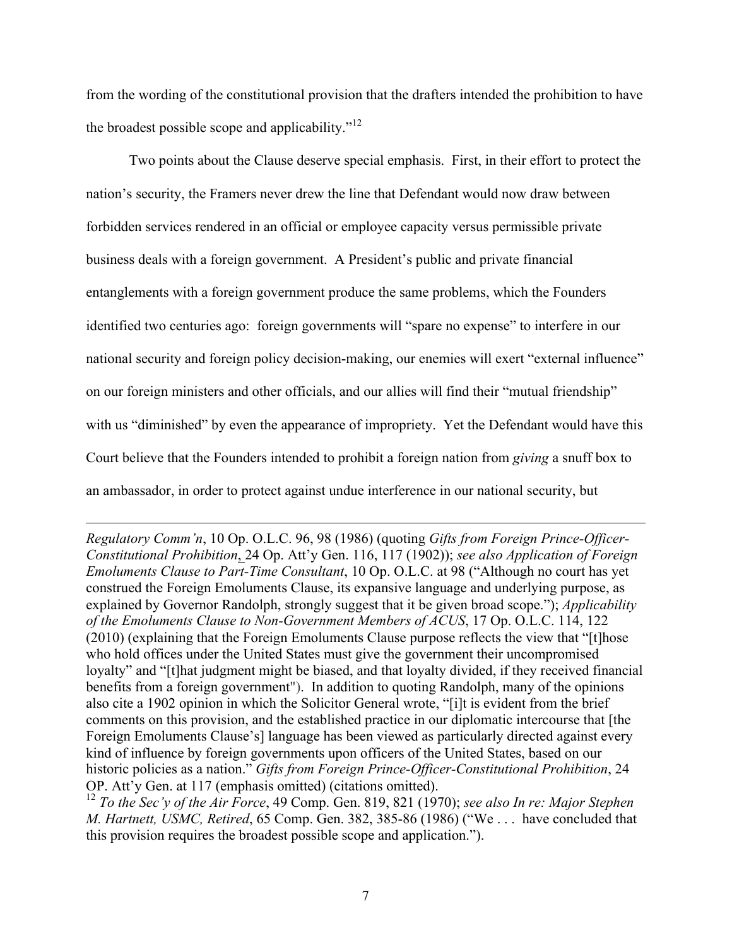from the wording of the constitutional provision that the drafters intended the prohibition to have the broadest possible scope and applicability."<sup>12</sup>

Two points about the Clause deserve special emphasis. First, in their effort to protect the nation's security, the Framers never drew the line that Defendant would now draw between forbidden services rendered in an official or employee capacity versus permissible private business deals with a foreign government. A President's public and private financial entanglements with a foreign government produce the same problems, which the Founders identified two centuries ago: foreign governments will "spare no expense" to interfere in our national security and foreign policy decision-making, our enemies will exert "external influence" on our foreign ministers and other officials, and our allies will find their "mutual friendship" with us "diminished" by even the appearance of impropriety. Yet the Defendant would have this Court believe that the Founders intended to prohibit a foreign nation from *giving* a snuff box to an ambassador, in order to protect against undue interference in our national security, but

*Regulatory Comm'n*, 10 Op. O.L.C. 96, 98 (1986) (quoting *Gifts from Foreign Prince-Officer-Constitutional Prohibition*, 24 Op. Att'y Gen. 116, 117 (1902)); *see also Application of Foreign Emoluments Clause to Part-Time Consultant*, 10 Op. O.L.C. at 98 ("Although no court has yet construed the Foreign Emoluments Clause, its expansive language and underlying purpose, as explained by Governor Randolph, strongly suggest that it be given broad scope."); *Applicability of the Emoluments Clause to Non-Government Members of ACUS*, 17 Op. O.L.C. 114, 122 (2010) (explaining that the Foreign Emoluments Clause purpose reflects the view that "[t]hose who hold offices under the United States must give the government their uncompromised loyalty" and "[t]hat judgment might be biased, and that loyalty divided, if they received financial benefits from a foreign government"). In addition to quoting Randolph, many of the opinions also cite a 1902 opinion in which the Solicitor General wrote, "[i]t is evident from the brief comments on this provision, and the established practice in our diplomatic intercourse that [the Foreign Emoluments Clause's] language has been viewed as particularly directed against every kind of influence by foreign governments upon officers of the United States, based on our historic policies as a nation." *Gifts from Foreign Prince-Officer-Constitutional Prohibition*, 24 OP. Att'y Gen. at 117 (emphasis omitted) (citations omitted). 12 *To the Sec'y of the Air Force*, 49 Comp. Gen. 819, 821 (1970); *see also In re: Major Stephen* 

<u> 1989 - Jan Salaman, masjid a shekarar 1989 - André Salaman a shekara ta 1989 - André Salaman a shekara ta 19</u>

*M. Hartnett, USMC, Retired*, 65 Comp. Gen. 382, 385-86 (1986) ("We . . . have concluded that this provision requires the broadest possible scope and application.").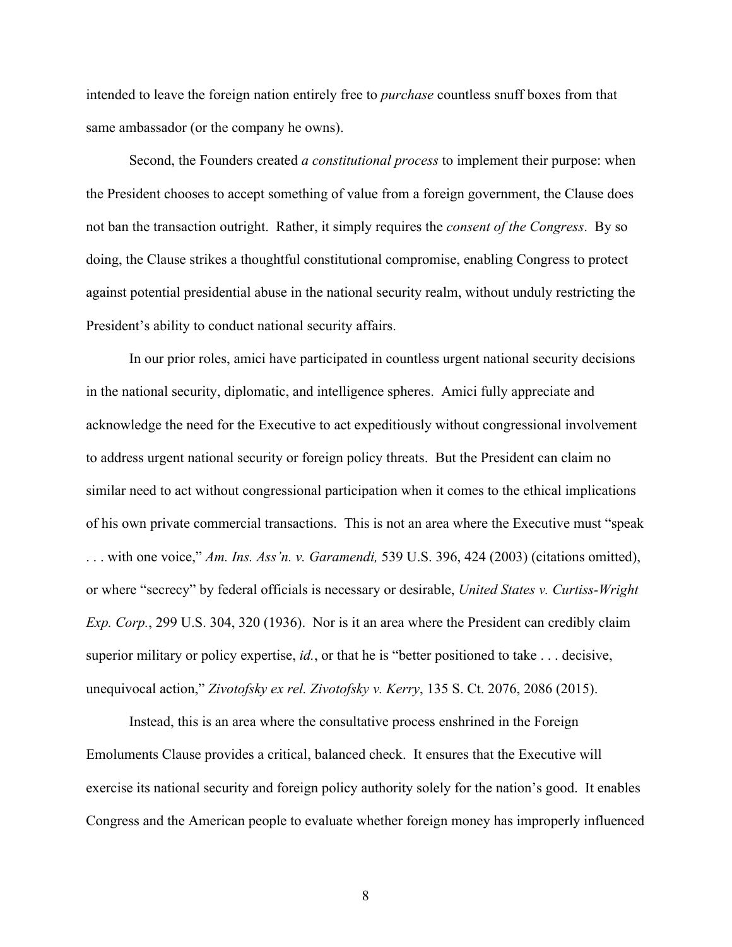intended to leave the foreign nation entirely free to *purchase* countless snuff boxes from that same ambassador (or the company he owns).

Second, the Founders created *a constitutional process* to implement their purpose: when the President chooses to accept something of value from a foreign government, the Clause does not ban the transaction outright. Rather, it simply requires the *consent of the Congress*. By so doing, the Clause strikes a thoughtful constitutional compromise, enabling Congress to protect against potential presidential abuse in the national security realm, without unduly restricting the President's ability to conduct national security affairs.

In our prior roles, amici have participated in countless urgent national security decisions in the national security, diplomatic, and intelligence spheres. Amici fully appreciate and acknowledge the need for the Executive to act expeditiously without congressional involvement to address urgent national security or foreign policy threats. But the President can claim no similar need to act without congressional participation when it comes to the ethical implications of his own private commercial transactions. This is not an area where the Executive must "speak . . . with one voice," *Am. Ins. Ass'n. v. Garamendi,* 539 U.S. 396, 424 (2003) (citations omitted), or where "secrecy" by federal officials is necessary or desirable, *United States v. Curtiss-Wright Exp. Corp.*, 299 U.S. 304, 320 (1936). Nor is it an area where the President can credibly claim superior military or policy expertise, *id.*, or that he is "better positioned to take . . . decisive, unequivocal action," *Zivotofsky ex rel. Zivotofsky v. Kerry*, 135 S. Ct. 2076, 2086 (2015).

Instead, this is an area where the consultative process enshrined in the Foreign Emoluments Clause provides a critical, balanced check. It ensures that the Executive will exercise its national security and foreign policy authority solely for the nation's good. It enables Congress and the American people to evaluate whether foreign money has improperly influenced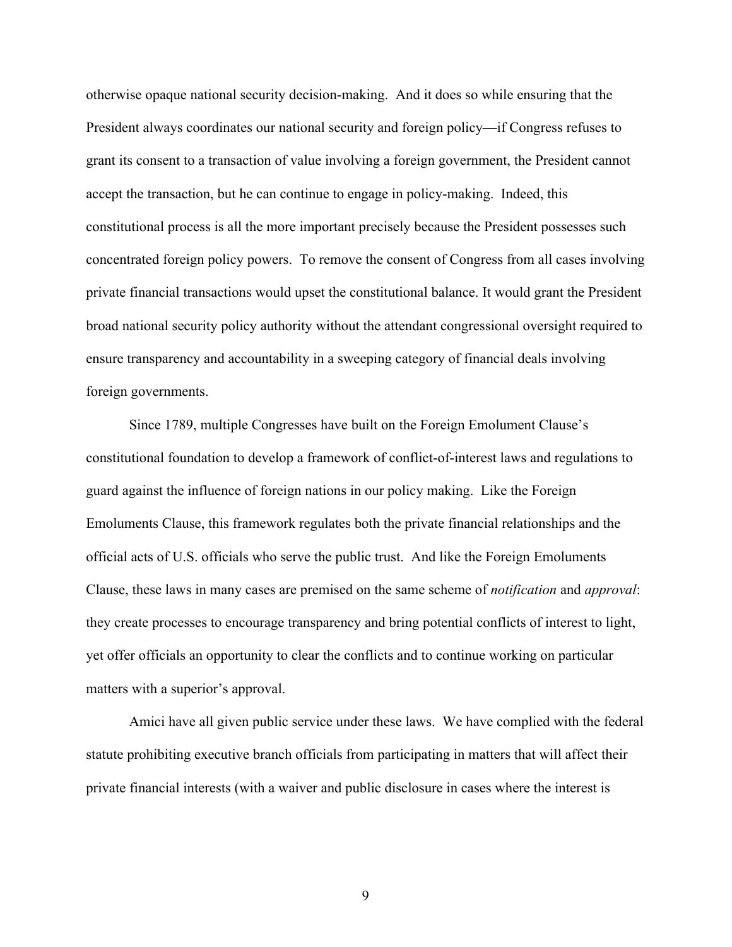otherwise opaque national security decision-making. And it does so while ensuring that the President always coordinates our national security and foreign policy—if Congress refuses to grant its consent to a transaction of value involving a foreign government, the President cannot accept the transaction, but he can continue to engage in policy-making. Indeed, this constitutional process is all the more important precisely because the President possesses such concentrated foreign policy powers. To remove the consent of Congress from all cases involving private financial transactions would upset the constitutional balance. It would grant the President broad national security policy authority without the attendant congressional oversight required to ensure transparency and accountability in a sweeping category of financial deals involving foreign governments.

Since 1789, multiple Congresses have built on the Foreign Emolument Clause's constitutional foundation to develop a framework of conflict-of-interest laws and regulations to guard against the influence of foreign nations in our policy making. Like the Foreign Emoluments Clause, this framework regulates both the private financial relationships and the official acts of U.S. officials who serve the public trust. And like the Foreign Emoluments Clause, these laws in many cases are premised on the same scheme of *notification* and *approval*: they create processes to encourage transparency and bring potential conflicts of interest to light, yet offer officials an opportunity to clear the conflicts and to continue working on particular matters with a superior's approval.

Amici have all given public service under these laws. We have complied with the federal statute prohibiting executive branch officials from participating in matters that will affect their private financial interests (with a waiver and public disclosure in cases where the interest is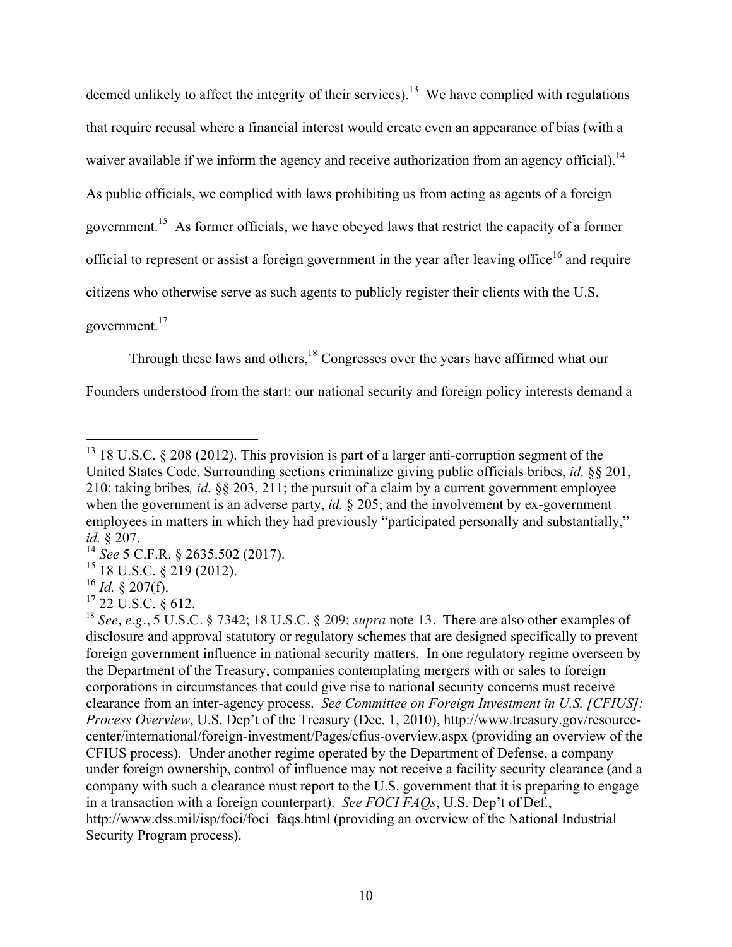deemed unlikely to affect the integrity of their services).<sup>13</sup> We have complied with regulations that require recusal where a financial interest would create even an appearance of bias (with a waiver available if we inform the agency and receive authorization from an agency official).<sup>14</sup> As public officials, we complied with laws prohibiting us from acting as agents of a foreign government.<sup>15</sup> As former officials, we have obeyed laws that restrict the capacity of a former official to represent or assist a foreign government in the year after leaving office<sup>16</sup> and require citizens who otherwise serve as such agents to publicly register their clients with the U.S.

government.17

Through these laws and others,<sup>18</sup> Congresses over the years have affirmed what our

Founders understood from the start: our national security and foreign policy interests demand a

<sup>&</sup>lt;sup>13</sup> 18 U.S.C. § 208 (2012). This provision is part of a larger anti-corruption segment of the United States Code. Surrounding sections criminalize giving public officials bribes, *id.* §§ 201, 210; taking bribes*, id.* §§ 203, 211; the pursuit of a claim by a current government employee when the government is an adverse party, *id.* § 205; and the involvement by ex-government employees in matters in which they had previously "participated personally and substantially,"

*id.* § 207.<br><sup>14</sup> *See* 5 C.F.R. § 2635.502 (2017).<br><sup>15</sup> 18 U.S.C. § 219 (2012).<br><sup>16</sup> *Id.* § 207(f).<br><sup>17</sup> 22 U.S.C. § 612.

<sup>18</sup> *See, e.g.*, 5 U.S.C. § 7342; 18 U.S.C. § 209; *supra* note 13. There are also other examples of disclosure and approval statutory or regulatory schemes that are designed specifically to prevent foreign government influence in national security matters. In one regulatory regime overseen by the Department of the Treasury, companies contemplating mergers with or sales to foreign corporations in circumstances that could give rise to national security concerns must receive clearance from an inter-agency process. *See Committee on Foreign Investment in U.S. [CFIUS]: Process Overview*, U.S. Dep't of the Treasury (Dec. 1, 2010), http://www.treasury.gov/resourcecenter/international/foreign-investment/Pages/cfius-overview.aspx (providing an overview of the CFIUS process). Under another regime operated by the Department of Defense, a company under foreign ownership, control of influence may not receive a facility security clearance (and a company with such a clearance must report to the U.S. government that it is preparing to engage in a transaction with a foreign counterpart). *See FOCI FAQs*, U.S. Dep't of Def., http://www.dss.mil/isp/foci/foci\_faqs.html (providing an overview of the National Industrial Security Program process).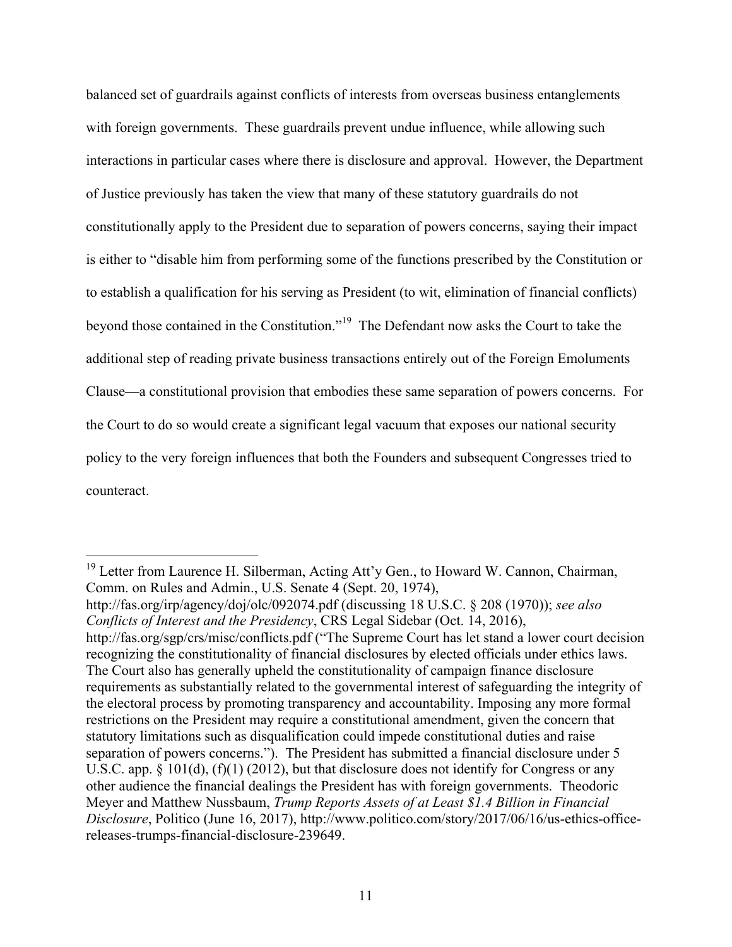balanced set of guardrails against conflicts of interests from overseas business entanglements with foreign governments. These guardrails prevent undue influence, while allowing such interactions in particular cases where there is disclosure and approval. However, the Department of Justice previously has taken the view that many of these statutory guardrails do not constitutionally apply to the President due to separation of powers concerns, saying their impact is either to "disable him from performing some of the functions prescribed by the Constitution or to establish a qualification for his serving as President (to wit, elimination of financial conflicts) beyond those contained in the Constitution."19 The Defendant now asks the Court to take the additional step of reading private business transactions entirely out of the Foreign Emoluments Clause—a constitutional provision that embodies these same separation of powers concerns. For the Court to do so would create a significant legal vacuum that exposes our national security policy to the very foreign influences that both the Founders and subsequent Congresses tried to counteract.

<sup>&</sup>lt;sup>19</sup> Letter from Laurence H. Silberman, Acting Att'y Gen., to Howard W. Cannon, Chairman, Comm. on Rules and Admin., U.S. Senate 4 (Sept. 20, 1974), http://fas.org/irp/agency/doj/olc/092074.pdf (discussing 18 U.S.C. § 208 (1970)); *see also Conflicts of Interest and the Presidency*, CRS Legal Sidebar (Oct. 14, 2016), http://fas.org/sgp/crs/misc/conflicts.pdf ("The Supreme Court has let stand a lower court decision recognizing the constitutionality of financial disclosures by elected officials under ethics laws. The Court also has generally upheld the constitutionality of campaign finance disclosure requirements as substantially related to the governmental interest of safeguarding the integrity of the electoral process by promoting transparency and accountability. Imposing any more formal restrictions on the President may require a constitutional amendment, given the concern that statutory limitations such as disqualification could impede constitutional duties and raise separation of powers concerns."). The President has submitted a financial disclosure under 5 U.S.C. app. § 101(d), (f)(1) (2012), but that disclosure does not identify for Congress or any other audience the financial dealings the President has with foreign governments. Theodoric Meyer and Matthew Nussbaum, *Trump Reports Assets of at Least \$1.4 Billion in Financial Disclosure*, Politico (June 16, 2017), http://www.politico.com/story/2017/06/16/us-ethics-officereleases-trumps-financial-disclosure-239649.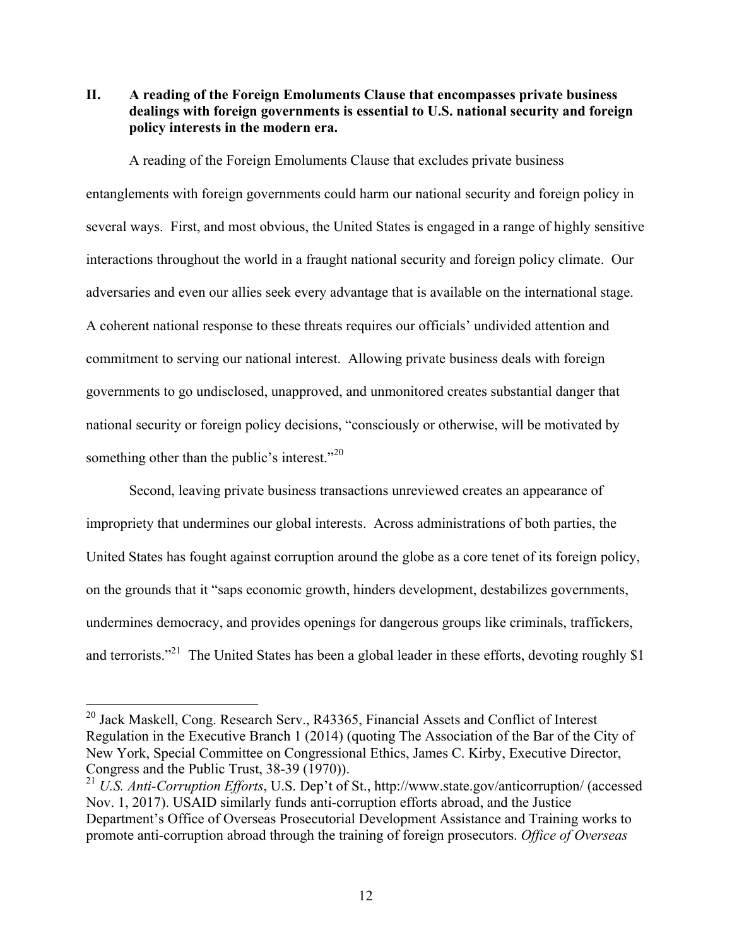**II. A reading of the Foreign Emoluments Clause that encompasses private business dealings with foreign governments is essential to U.S. national security and foreign policy interests in the modern era.**

A reading of the Foreign Emoluments Clause that excludes private business entanglements with foreign governments could harm our national security and foreign policy in several ways. First, and most obvious, the United States is engaged in a range of highly sensitive interactions throughout the world in a fraught national security and foreign policy climate. Our adversaries and even our allies seek every advantage that is available on the international stage. A coherent national response to these threats requires our officials' undivided attention and commitment to serving our national interest. Allowing private business deals with foreign governments to go undisclosed, unapproved, and unmonitored creates substantial danger that national security or foreign policy decisions, "consciously or otherwise, will be motivated by something other than the public's interest."<sup>20</sup>

Second, leaving private business transactions unreviewed creates an appearance of impropriety that undermines our global interests. Across administrations of both parties, the United States has fought against corruption around the globe as a core tenet of its foreign policy, on the grounds that it "saps economic growth, hinders development, destabilizes governments, undermines democracy, and provides openings for dangerous groups like criminals, traffickers, and terrorists."<sup>21</sup> The United States has been a global leader in these efforts, devoting roughly \$1

<sup>&</sup>lt;sup>20</sup> Jack Maskell, Cong. Research Serv., R43365, Financial Assets and Conflict of Interest Regulation in the Executive Branch 1 (2014) (quoting The Association of the Bar of the City of New York, Special Committee on Congressional Ethics, James C. Kirby, Executive Director, Congress and the Public Trust, 38-39 (1970)).

<sup>21</sup> *U.S. Anti-Corruption Efforts*, U.S. Dep't of St., http://www.state.gov/anticorruption/ (accessed Nov. 1, 2017). USAID similarly funds anti-corruption efforts abroad, and the Justice Department's Office of Overseas Prosecutorial Development Assistance and Training works to promote anti-corruption abroad through the training of foreign prosecutors. *Office of Overseas*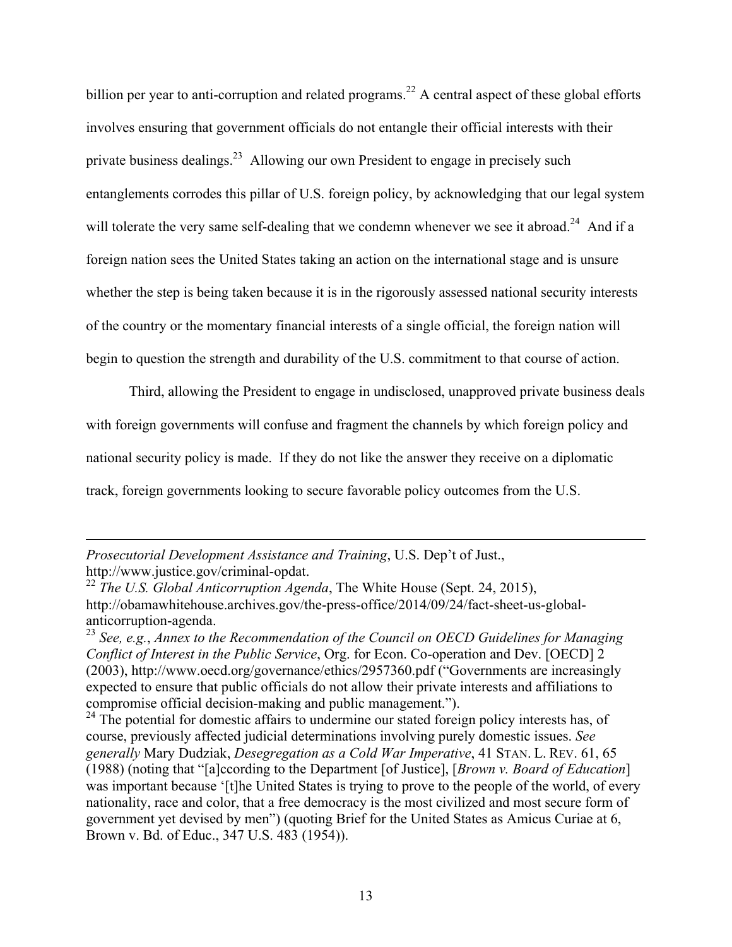billion per year to anti-corruption and related programs.<sup>22</sup> A central aspect of these global efforts involves ensuring that government officials do not entangle their official interests with their private business dealings.23 Allowing our own President to engage in precisely such entanglements corrodes this pillar of U.S. foreign policy, by acknowledging that our legal system will tolerate the very same self-dealing that we condemn whenever we see it abroad.<sup>24</sup> And if a foreign nation sees the United States taking an action on the international stage and is unsure whether the step is being taken because it is in the rigorously assessed national security interests of the country or the momentary financial interests of a single official, the foreign nation will begin to question the strength and durability of the U.S. commitment to that course of action.

Third, allowing the President to engage in undisclosed, unapproved private business deals with foreign governments will confuse and fragment the channels by which foreign policy and national security policy is made. If they do not like the answer they receive on a diplomatic track, foreign governments looking to secure favorable policy outcomes from the U.S.

<u> 1989 - Jan Salaman, masjid a shekarar 1989 - André Salaman a shekara ta 1989 - André Salaman a shekara ta 19</u>

*Prosecutorial Development Assistance and Training*, U.S. Dep't of Just., http://www.justice.gov/criminal-opdat. <sup>22</sup> *The U.S. Global Anticorruption Agenda*, The White House (Sept. 24, 2015),

http://obamawhitehouse.archives.gov/the-press-office/2014/09/24/fact-sheet-us-global-

anticorruption-agenda. <sup>23</sup> *See, e.g.*, *Annex to the Recommendation of the Council on OECD Guidelines for Managing Conflict of Interest in the Public Service*, Org. for Econ. Co-operation and Dev. [OECD] 2 (2003), http://www.oecd.org/governance/ethics/2957360.pdf ("Governments are increasingly expected to ensure that public officials do not allow their private interests and affiliations to compromise official decision-making and public management.").

 $^{24}$  The potential for domestic affairs to undermine our stated foreign policy interests has, of course, previously affected judicial determinations involving purely domestic issues. *See generally* Mary Dudziak, *Desegregation as a Cold War Imperative*, 41 STAN. L. REV. 61, 65 (1988) (noting that "[a]ccording to the Department [of Justice], [*Brown v. Board of Education*] was important because '[t]he United States is trying to prove to the people of the world, of every nationality, race and color, that a free democracy is the most civilized and most secure form of government yet devised by men") (quoting Brief for the United States as Amicus Curiae at 6, Brown v. Bd. of Educ., 347 U.S. 483 (1954)).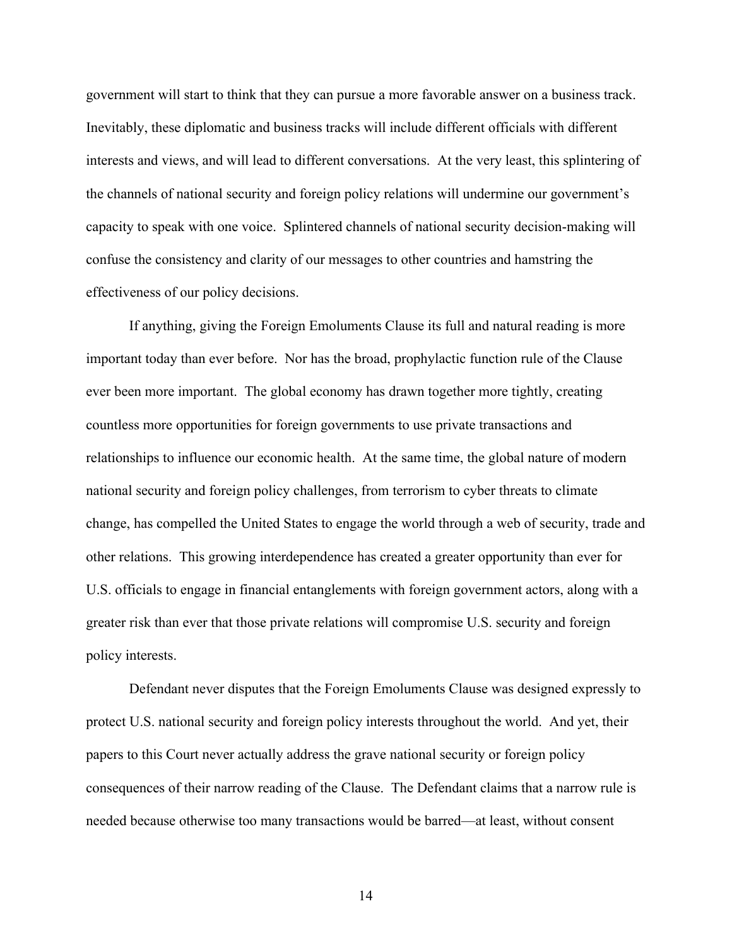government will start to think that they can pursue a more favorable answer on a business track. Inevitably, these diplomatic and business tracks will include different officials with different interests and views, and will lead to different conversations. At the very least, this splintering of the channels of national security and foreign policy relations will undermine our government's capacity to speak with one voice. Splintered channels of national security decision-making will confuse the consistency and clarity of our messages to other countries and hamstring the effectiveness of our policy decisions.

If anything, giving the Foreign Emoluments Clause its full and natural reading is more important today than ever before. Nor has the broad, prophylactic function rule of the Clause ever been more important. The global economy has drawn together more tightly, creating countless more opportunities for foreign governments to use private transactions and relationships to influence our economic health. At the same time, the global nature of modern national security and foreign policy challenges, from terrorism to cyber threats to climate change, has compelled the United States to engage the world through a web of security, trade and other relations. This growing interdependence has created a greater opportunity than ever for U.S. officials to engage in financial entanglements with foreign government actors, along with a greater risk than ever that those private relations will compromise U.S. security and foreign policy interests.

Defendant never disputes that the Foreign Emoluments Clause was designed expressly to protect U.S. national security and foreign policy interests throughout the world. And yet, their papers to this Court never actually address the grave national security or foreign policy consequences of their narrow reading of the Clause. The Defendant claims that a narrow rule is needed because otherwise too many transactions would be barred—at least, without consent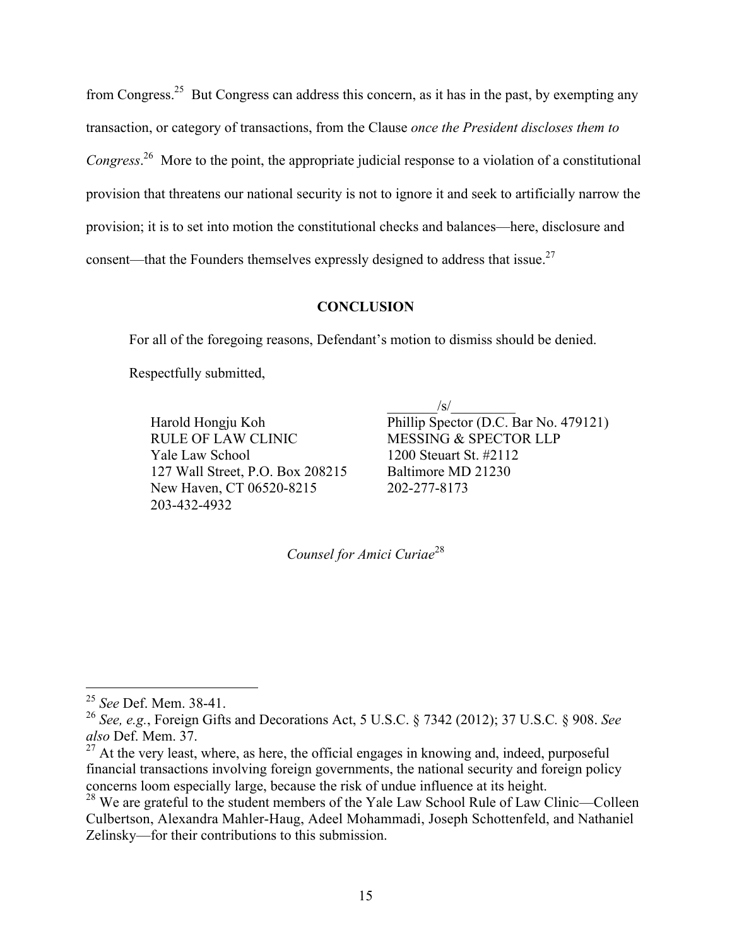from Congress.<sup>25</sup> But Congress can address this concern, as it has in the past, by exempting any transaction, or category of transactions, from the Clause *once the President discloses them to Congress*. 26 More to the point, the appropriate judicial response to a violation of a constitutional provision that threatens our national security is not to ignore it and seek to artificially narrow the provision; it is to set into motion the constitutional checks and balances—here, disclosure and consent—that the Founders themselves expressly designed to address that issue.<sup>27</sup>

#### **CONCLUSION**

For all of the foregoing reasons, Defendant's motion to dismiss should be denied.

Respectfully submitted,

RULE OF LAW CLINIC MESSING & SPECTOR LLP Yale Law School 1200 Steuart St. #2112 127 Wall Street, P.O. Box 208215 Baltimore MD 21230 New Haven, CT 06520-8215 202-277-8173 203-432-4932

 $\sqrt{s}/\sqrt{s}$ Harold Hongju Koh Phillip Spector (D.C. Bar No. 479121)

*Counsel for Amici Curiae*<sup>28</sup>

 <sup>25</sup> *See* Def. Mem. 38-41.

<sup>26</sup> *See, e.g.*, Foreign Gifts and Decorations Act, 5 U.S.C. § 7342 (2012); 37 U.S.C*.* § 908. *See also* Def. Mem. 37.

 $27$  At the very least, where, as here, the official engages in knowing and, indeed, purposeful financial transactions involving foreign governments, the national security and foreign policy concerns loom especially large, because the risk of undue influence at its height.

<sup>&</sup>lt;sup>28</sup> We are grateful to the student members of the Yale Law School Rule of Law Clinic—Colleen Culbertson, Alexandra Mahler-Haug, Adeel Mohammadi, Joseph Schottenfeld, and Nathaniel Zelinsky—for their contributions to this submission.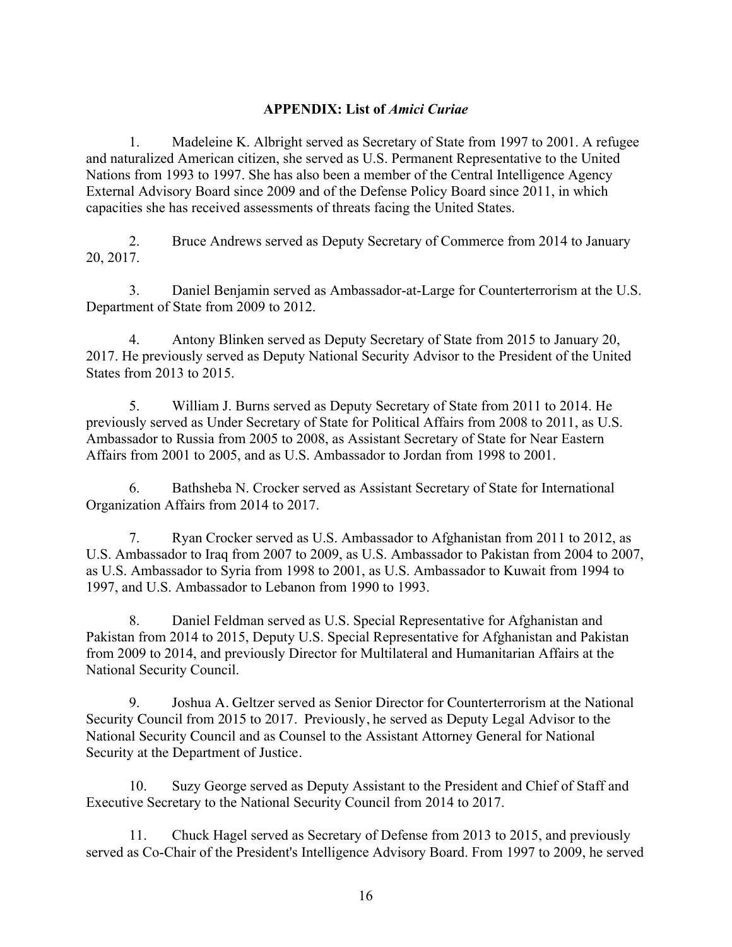### **APPENDIX: List of** *Amici Curiae*

1. Madeleine K. Albright served as Secretary of State from 1997 to 2001. A refugee and naturalized American citizen, she served as U.S. Permanent Representative to the United Nations from 1993 to 1997. She has also been a member of the Central Intelligence Agency External Advisory Board since 2009 and of the Defense Policy Board since 2011, in which capacities she has received assessments of threats facing the United States.

2. Bruce Andrews served as Deputy Secretary of Commerce from 2014 to January 20, 2017.

3. Daniel Benjamin served as Ambassador-at-Large for Counterterrorism at the U.S. Department of State from 2009 to 2012.

4. Antony Blinken served as Deputy Secretary of State from 2015 to January 20, 2017. He previously served as Deputy National Security Advisor to the President of the United States from 2013 to 2015.

5. William J. Burns served as Deputy Secretary of State from 2011 to 2014. He previously served as Under Secretary of State for Political Affairs from 2008 to 2011, as U.S. Ambassador to Russia from 2005 to 2008, as Assistant Secretary of State for Near Eastern Affairs from 2001 to 2005, and as U.S. Ambassador to Jordan from 1998 to 2001.

6. Bathsheba N. Crocker served as Assistant Secretary of State for International Organization Affairs from 2014 to 2017.

7. Ryan Crocker served as U.S. Ambassador to Afghanistan from 2011 to 2012, as U.S. Ambassador to Iraq from 2007 to 2009, as U.S. Ambassador to Pakistan from 2004 to 2007, as U.S. Ambassador to Syria from 1998 to 2001, as U.S. Ambassador to Kuwait from 1994 to 1997, and U.S. Ambassador to Lebanon from 1990 to 1993.

8. Daniel Feldman served as U.S. Special Representative for Afghanistan and Pakistan from 2014 to 2015, Deputy U.S. Special Representative for Afghanistan and Pakistan from 2009 to 2014, and previously Director for Multilateral and Humanitarian Affairs at the National Security Council.

9. Joshua A. Geltzer served as Senior Director for Counterterrorism at the National Security Council from 2015 to 2017. Previously, he served as Deputy Legal Advisor to the National Security Council and as Counsel to the Assistant Attorney General for National Security at the Department of Justice.

10. Suzy George served as Deputy Assistant to the President and Chief of Staff and Executive Secretary to the National Security Council from 2014 to 2017.

11. Chuck Hagel served as Secretary of Defense from 2013 to 2015, and previously served as Co-Chair of the President's Intelligence Advisory Board. From 1997 to 2009, he served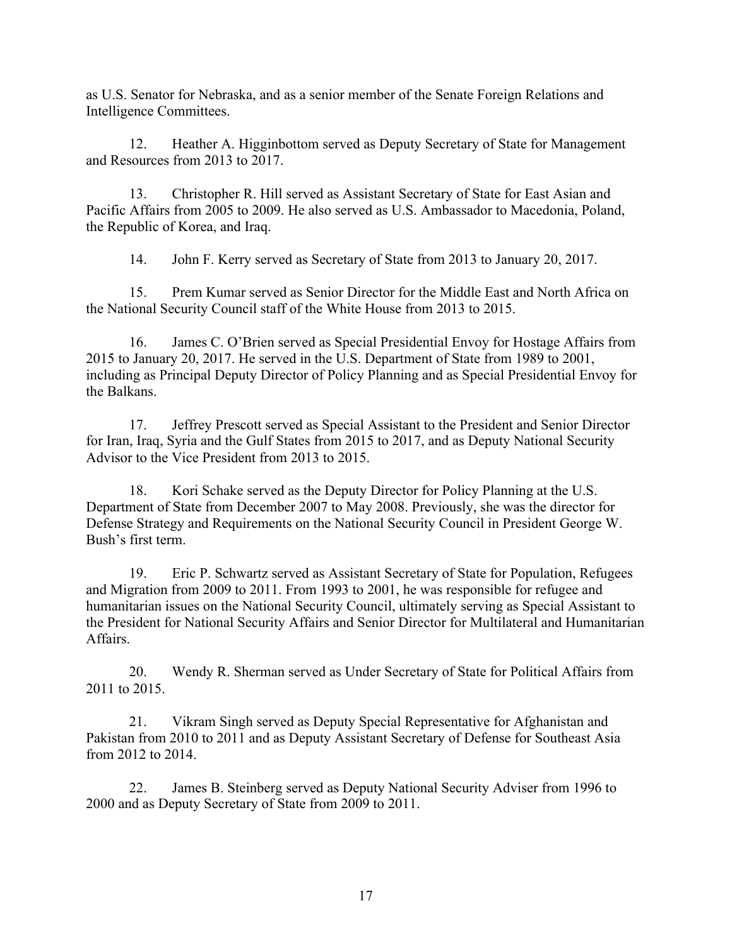as U.S. Senator for Nebraska, and as a senior member of the Senate Foreign Relations and Intelligence Committees.

12. Heather A. Higginbottom served as Deputy Secretary of State for Management and Resources from 2013 to 2017.

13. Christopher R. Hill served as Assistant Secretary of State for East Asian and Pacific Affairs from 2005 to 2009. He also served as U.S. Ambassador to Macedonia, Poland, the Republic of Korea, and Iraq.

14. John F. Kerry served as Secretary of State from 2013 to January 20, 2017.

15. Prem Kumar served as Senior Director for the Middle East and North Africa on the National Security Council staff of the White House from 2013 to 2015.

16. James C. O'Brien served as Special Presidential Envoy for Hostage Affairs from 2015 to January 20, 2017. He served in the U.S. Department of State from 1989 to 2001, including as Principal Deputy Director of Policy Planning and as Special Presidential Envoy for the Balkans.

17. Jeffrey Prescott served as Special Assistant to the President and Senior Director for Iran, Iraq, Syria and the Gulf States from 2015 to 2017, and as Deputy National Security Advisor to the Vice President from 2013 to 2015.

18. Kori Schake served as the Deputy Director for Policy Planning at the U.S. Department of State from December 2007 to May 2008. Previously, she was the director for Defense Strategy and Requirements on the National Security Council in President George W. Bush's first term.

19. Eric P. Schwartz served as Assistant Secretary of State for Population, Refugees and Migration from 2009 to 2011. From 1993 to 2001, he was responsible for refugee and humanitarian issues on the National Security Council, ultimately serving as Special Assistant to the President for National Security Affairs and Senior Director for Multilateral and Humanitarian Affairs.

20. Wendy R. Sherman served as Under Secretary of State for Political Affairs from 2011 to 2015.

21. Vikram Singh served as Deputy Special Representative for Afghanistan and Pakistan from 2010 to 2011 and as Deputy Assistant Secretary of Defense for Southeast Asia from 2012 to 2014.

22. James B. Steinberg served as Deputy National Security Adviser from 1996 to 2000 and as Deputy Secretary of State from 2009 to 2011.